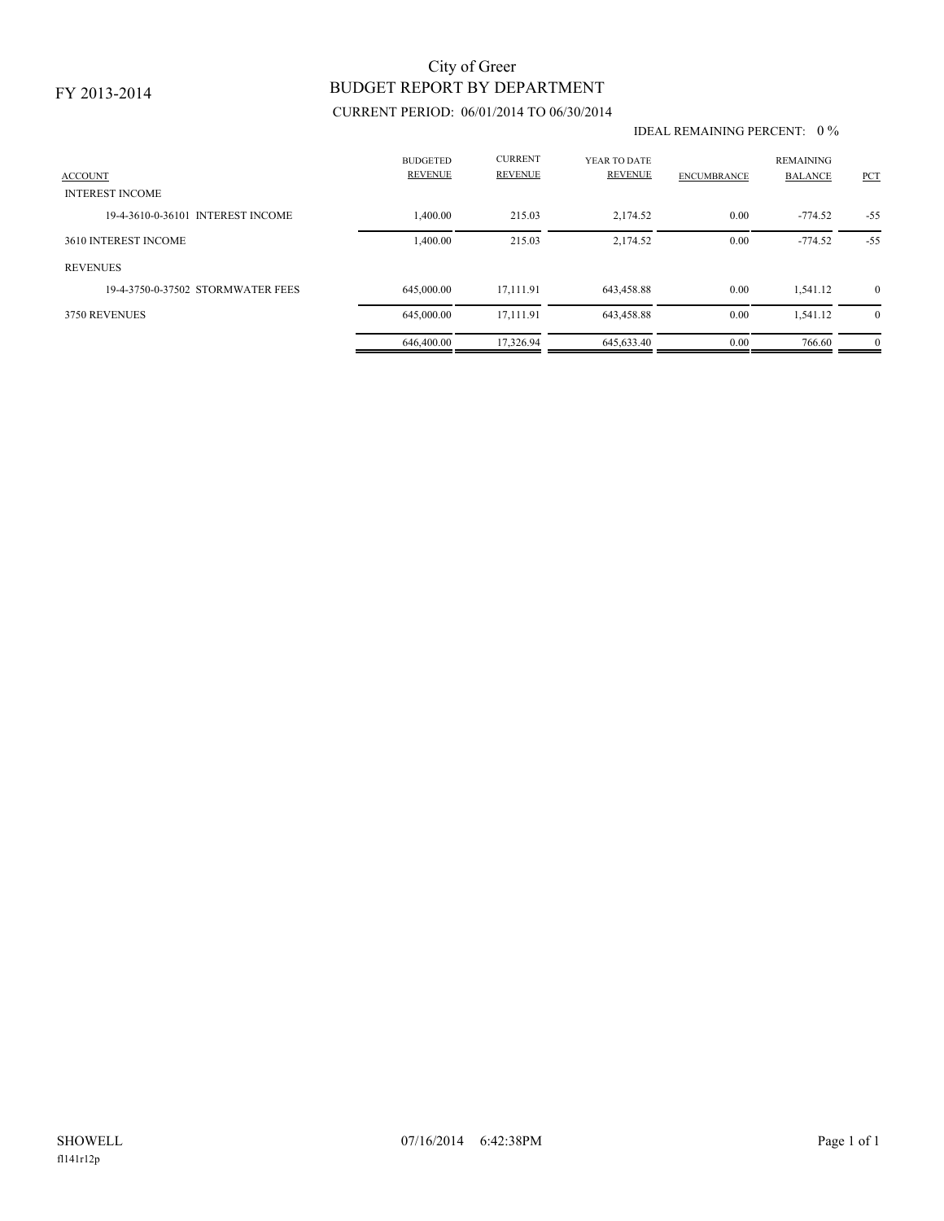# BUDGET REPORT BY DEPARTMENT City of Greer

### CURRENT PERIOD: 06/01/2014 TO 06/30/2014

#### IDEAL REMAINING PERCENT: 0 %

| <b>ACCOUNT</b><br><b>INTEREST INCOME</b> | <b>BUDGETED</b><br><b>REVENUE</b> | <b>CURRENT</b><br><b>REVENUE</b> | YEAR TO DATE<br><b>REVENUE</b> | <b>ENCUMBRANCE</b> | <b>REMAINING</b><br><b>BALANCE</b> | <b>PCT</b>   |
|------------------------------------------|-----------------------------------|----------------------------------|--------------------------------|--------------------|------------------------------------|--------------|
| 19-4-3610-0-36101 INTEREST INCOME        | 1,400.00                          | 215.03                           | 2,174.52                       | 0.00               | $-774.52$                          | $-55$        |
| 3610 INTEREST INCOME                     | 1,400.00                          | 215.03                           | 2,174.52                       | 0.00               | $-774.52$                          | $-55$        |
| <b>REVENUES</b>                          |                                   |                                  |                                |                    |                                    |              |
| 19-4-3750-0-37502 STORMWATER FEES        | 645,000,00                        | 17.111.91                        | 643,458.88                     | 0.00               | 1.541.12                           | $\mathbf{0}$ |
| 3750 REVENUES                            | 645,000.00                        | 17.111.91                        | 643,458.88                     | 0.00               | 1,541.12                           | $\mathbf{0}$ |
|                                          | 646,400.00                        | 17.326.94                        | 645.633.40                     | 0.00               | 766.60                             | $\mathbf{0}$ |